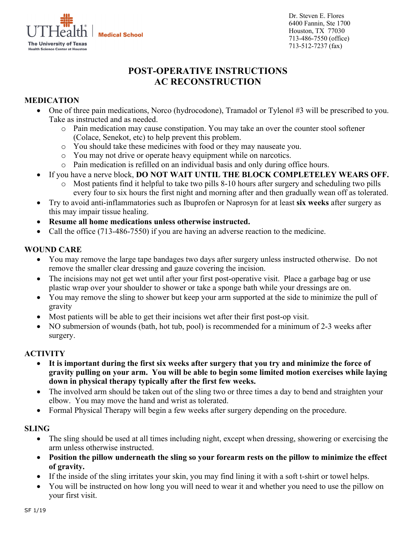

Dr. Steven E. Flores 6400 Fannin, Ste 1700 Houston, TX 77030 713-486-7550 (office) 713-512-7237 (fax)

# **POST-OPERATIVE INSTRUCTIONS AC RECONSTRUCTION**

# **MEDICATION**

- One of three pain medications, Norco (hydrocodone), Tramadol or Tylenol #3 will be prescribed to you. Take as instructed and as needed.
	- o Pain medication may cause constipation. You may take an over the counter stool softener (Colace, Senekot, etc) to help prevent this problem.
	- o You should take these medicines with food or they may nauseate you.
	- o You may not drive or operate heavy equipment while on narcotics.
	- o Pain medication is refilled on an individual basis and only during office hours.
- If you have a nerve block, **DO NOT WAIT UNTIL THE BLOCK COMPLETELEY WEARS OFF.**
	- Most patients find it helpful to take two pills 8-10 hours after surgery and scheduling two pills every four to six hours the first night and morning after and then gradually wean off as tolerated.
- Try to avoid anti-inflammatories such as Ibuprofen or Naprosyn for at least **six weeks** after surgery as this may impair tissue healing.
- **Resume all home medications unless otherwise instructed.**
- Call the office (713-486-7550) if you are having an adverse reaction to the medicine.

#### **WOUND CARE**

- You may remove the large tape bandages two days after surgery unless instructed otherwise. Do not remove the smaller clear dressing and gauze covering the incision.
- The incisions may not get wet until after your first post-operative visit. Place a garbage bag or use plastic wrap over your shoulder to shower or take a sponge bath while your dressings are on.
- You may remove the sling to shower but keep your arm supported at the side to minimize the pull of gravity
- Most patients will be able to get their incisions wet after their first post-op visit.
- NO submersion of wounds (bath, hot tub, pool) is recommended for a minimum of 2-3 weeks after surgery.

#### **ACTIVITY**

- **It is important during the first six weeks after surgery that you try and minimize the force of gravity pulling on your arm. You will be able to begin some limited motion exercises while laying down in physical therapy typically after the first few weeks.**
- The involved arm should be taken out of the sling two or three times a day to bend and straighten your elbow. You may move the hand and wrist as tolerated.
- Formal Physical Therapy will begin a few weeks after surgery depending on the procedure.

#### **SLING**

- The sling should be used at all times including night, except when dressing, showering or exercising the arm unless otherwise instructed.
- **Position the pillow underneath the sling so your forearm rests on the pillow to minimize the effect of gravity.**
- If the inside of the sling irritates your skin, you may find lining it with a soft t-shirt or towel helps.
- You will be instructed on how long you will need to wear it and whether you need to use the pillow on your first visit.